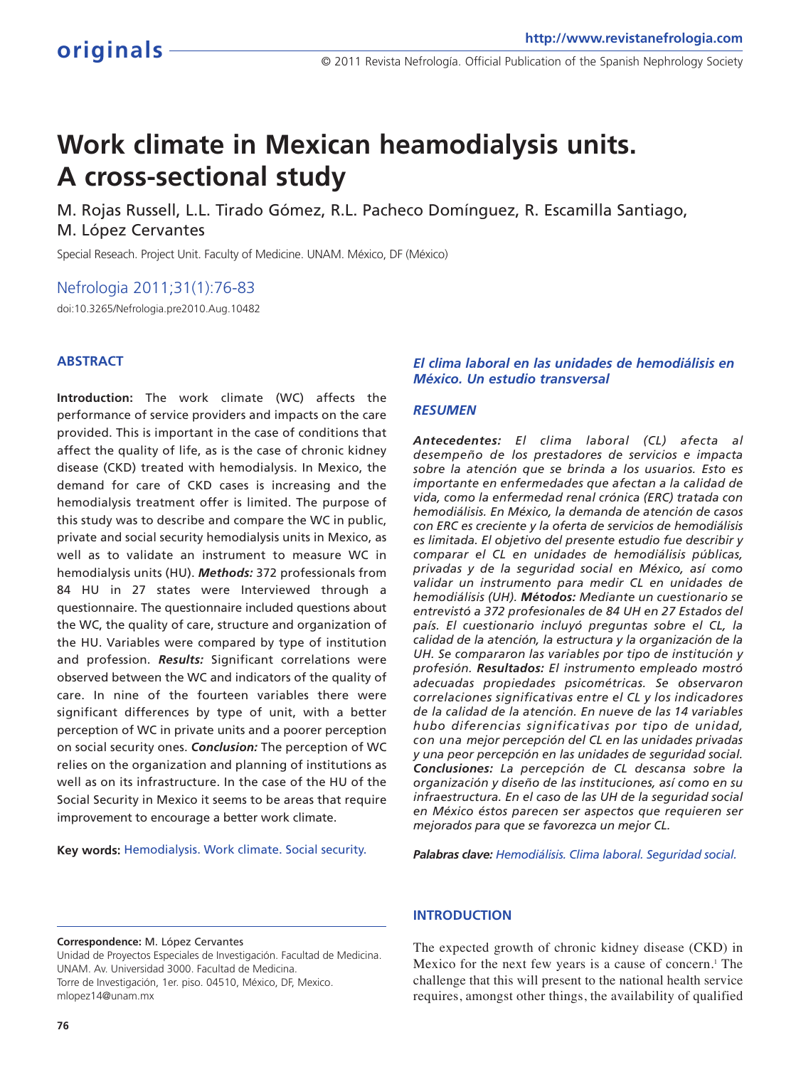# **Work climate in Mexican heamodialysis units. A cross-sectional study**

M. Rojas Russell, L.L. Tirado Gómez, R.L. Pacheco Domínguez, R. Escamilla Santiago, M. López Cervantes

Special Reseach. Project Unit. Faculty of Medicine. UNAM. México, DF (México)

Nefrologia 2011;31(1):76-83

doi:10.3265/Nefrologia.pre2010.Aug.10482

#### **ABSTRACT**

**Introduction:** The work climate (WC) affects the performance of service providers and impacts on the care provided. This is important in the case of conditions that affect the quality of life, as is the case of chronic kidney disease (CKD) treated with hemodialysis. In Mexico, the demand for care of CKD cases is increasing and the hemodialysis treatment offer is limited. The purpose of this study was to describe and compare the WC in public, private and social security hemodialysis units in Mexico, as well as to validate an instrument to measure WC in hemodialysis units (HU). *Methods:* 372 professionals from 84 HU in 27 states were Interviewed through a questionnaire. The questionnaire included questions about the WC, the quality of care, structure and organization of the HU. Variables were compared by type of institution and profession. *Results:* Significant correlations were observed between the WC and indicators of the quality of care. In nine of the fourteen variables there were significant differences by type of unit, with a better perception of WC in private units and a poorer perception on social security ones. *Conclusion:* The perception of WC relies on the organization and planning of institutions as well as on its infrastructure. In the case of the HU of the Social Security in Mexico it seems to be areas that require improvement to encourage a better work climate.

**Key words:** Hemodialysis. Work climate. Social security.

#### *El clima laboral en las unidades de hemodiálisis en México. Un estudio transversal*

#### *RESUMEN*

*Antecedentes: El clima laboral (CL) afecta al desempeño de los prestadores de servicios e impacta sobre la atención que se brinda a los usuarios. Esto es importante en enfermedades que afectan a la calidad de vida, como la enfermedad renal crónica (ERC) tratada con hemodiálisis. En México, la demanda de atención de casos con ERC es creciente y la oferta de servicios de hemodiálisis es limitada. El objetivo del presente estudio fue describir y comparar el CL en unidades de hemodiálisis públicas, privadas y de la seguridad social en México, así como validar un instrumento para medir CL en unidades de hemodiálisis (UH). Métodos: Mediante un cuestionario se entrevistó a 372 profesionales de 84 UH en 27 Estados del país. El cuestionario incluyó preguntas sobre el CL, la calidad de la atención, la estructura y la organización de la UH. Se compararon las variables por tipo de institución y profesión. Resultados: El instrumento empleado mostró adecuadas propiedades psicométricas. Se observaron correlaciones significativas entre el CL y los indicadores de la calidad de la atención. En nueve de las 14 variables hubo diferencias significativas por tipo de unidad, con una mejor percepción del CL en las unidades privadas y una peor percepción en las unidades de seguridad social. Conclusiones: La percepción de CL descansa sobre la organización y diseño de las instituciones, así como en su infraestructura. En el caso de las UH de la seguridad social en México éstos parecen ser aspectos que requieren ser mejorados para que se favorezca un mejor CL.*

*Palabras clave: Hemodiálisis. Clima laboral. Seguridad social.*

#### **Correspondence:** M. López Cervantes

Unidad de Proyectos Especiales de Investigación. Facultad de Medicina. UNAM. Av. Universidad 3000. Facultad de Medicina. Torre de Investigación, 1er. piso. 04510, México, DF, Mexico. mlopez14@unam.mx

The expected growth of chronic kidney disease (CKD) in Mexico for the next few years is a cause of concern.<sup>1</sup> The challenge that this will present to the national health service requires, amongst other things, the availability of qualified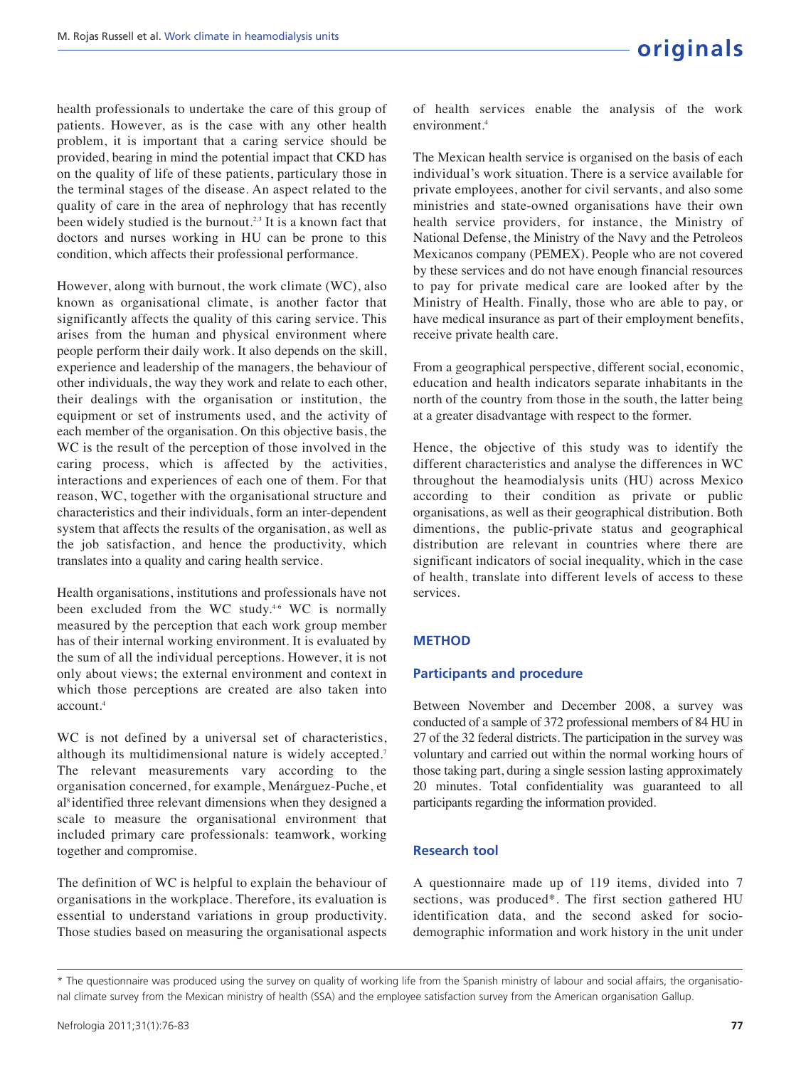health professionals to undertake the care of this group of patients. However, as is the case with any other health problem, it is important that a caring service should be provided, bearing in mind the potential impact that CKD has on the quality of life of these patients, particulary those in the terminal stages of the disease. An aspect related to the quality of care in the area of nephrology that has recently been widely studied is the burnout*.* 2,3 It is a known fact that doctors and nurses working in HU can be prone to this condition, which affects their professional performance.

However, along with burnout, the work climate (WC), also known as organisational climate, is another factor that significantly affects the quality of this caring service. This arises from the human and physical environment where people perform their daily work. It also depends on the skill, experience and leadership of the managers, the behaviour of other individuals, the way they work and relate to each other, their dealings with the organisation or institution, the equipment or set of instruments used, and the activity of each member of the organisation. On this objective basis, the WC is the result of the perception of those involved in the caring process, which is affected by the activities, interactions and experiences of each one of them. For that reason, WC, together with the organisational structure and characteristics and their individuals, form an inter-dependent system that affects the results of the organisation, as well as the job satisfaction, and hence the productivity, which translates into a quality and caring health service.

Health organisations, institutions and professionals have not been excluded from the WC study.<sup>4-6</sup> WC is normally measured by the perception that each work group member has of their internal working environment. It is evaluated by the sum of all the individual perceptions. However, it is not only about views; the external environment and context in which those perceptions are created are also taken into  $3$ ccount.<sup>4</sup>

WC is not defined by a universal set of characteristics, although its multidimensional nature is widely accepted.<sup>7</sup> The relevant measurements vary according to the organisation concerned, for example, Menárguez-Puche, et al<sup>8</sup> identified three relevant dimensions when they designed a scale to measure the organisational environment that included primary care professionals: teamwork, working together and compromise.

The definition of WC is helpful to explain the behaviour of organisations in the workplace. Therefore, its evaluation is essential to understand variations in group productivity. Those studies based on measuring the organisational aspects

of health services enable the analysis of the work environment.<sup>4</sup>

The Mexican health service is organised on the basis of each individual's work situation. There is a service available for private employees, another for civil servants, and also some ministries and state-owned organisations have their own health service providers, for instance, the Ministry of National Defense, the Ministry of the Navy and the Petroleos Mexicanos company (PEMEX). People who are not covered by these services and do not have enough financial resources to pay for private medical care are looked after by the Ministry of Health. Finally, those who are able to pay, or have medical insurance as part of their employment benefits, receive private health care.

From a geographical perspective, different social, economic, education and health indicators separate inhabitants in the north of the country from those in the south, the latter being at a greater disadvantage with respect to the former.

Hence, the objective of this study was to identify the different characteristics and analyse the differences in WC throughout the heamodialysis units (HU) across Mexico according to their condition as private or public organisations, as well as their geographical distribution. Both dimentions, the public-private status and geographical distribution are relevant in countries where there are significant indicators of social inequality, which in the case of health, translate into different levels of access to these services.

### **METHOD**

#### **Participants and procedure**

Between November and December 2008, a survey was conducted of a sample of 372 professional members of 84 HU in 27 of the 32 federal districts. The participation in the survey was voluntary and carried out within the normal working hours of those taking part, during a single session lasting approximately 20 minutes. Total confidentiality was guaranteed to all participants regarding the information provided.

#### **Research tool**

A questionnaire made up of 119 items, divided into 7 sections, was produced\*. The first section gathered HU identification data, and the second asked for sociodemographic information and work history in the unit under

<sup>\*</sup> The questionnaire was produced using the survey on quality of working life from the Spanish ministry of labour and social affairs, the organisational climate survey from the Mexican ministry of health (SSA) and the employee satisfaction survey from the American organisation Gallup.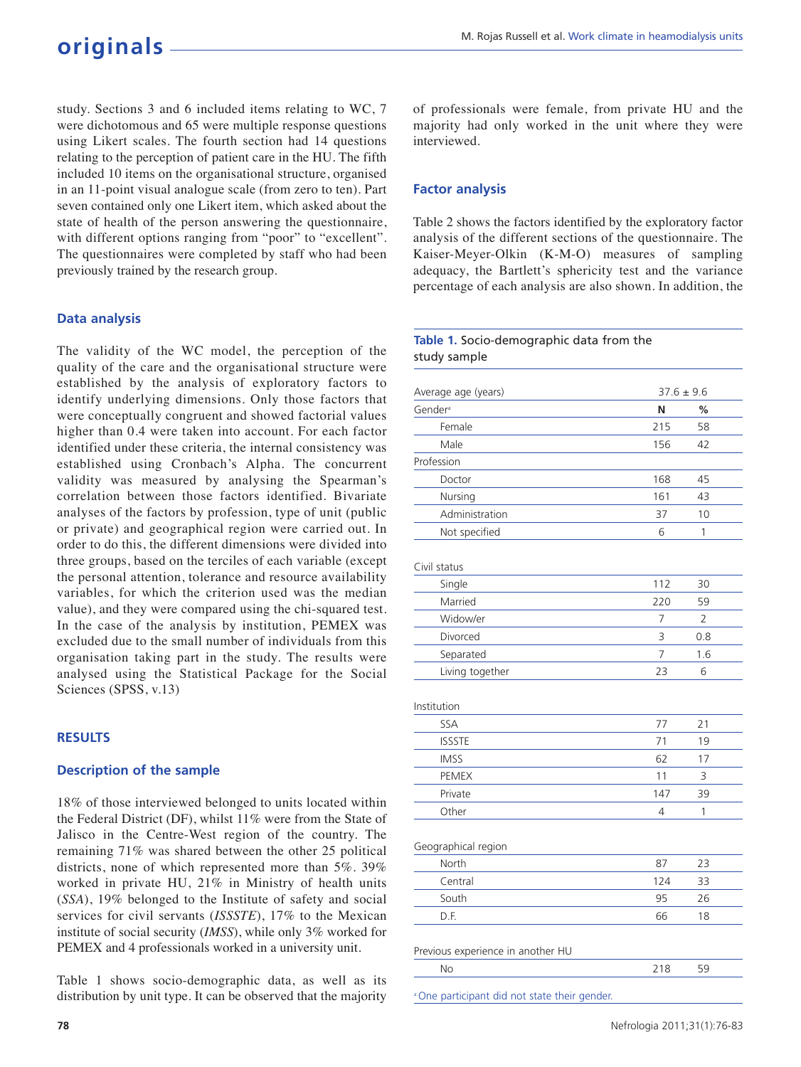# **originals**

study. Sections 3 and 6 included items relating to WC, 7 were dichotomous and 65 were multiple response questions using Likert scales. The fourth section had 14 questions relating to the perception of patient care in the HU. The fifth included 10 items on the organisational structure, organised in an 11-point visual analogue scale (from zero to ten). Part seven contained only one Likert item, which asked about the state of health of the person answering the questionnaire, with different options ranging from "poor" to "excellent". The questionnaires were completed by staff who had been previously trained by the research group.

# **Data analysis**

The validity of the WC model, the perception of the quality of the care and the organisational structure were established by the analysis of exploratory factors to identify underlying dimensions. Only those factors that were conceptually congruent and showed factorial values higher than 0.4 were taken into account. For each factor identified under these criteria, the internal consistency was established using Cronbach's Alpha. The concurrent validity was measured by analysing the Spearman's correlation between those factors identified. Bivariate analyses of the factors by profession, type of unit (public or private) and geographical region were carried out. In order to do this, the different dimensions were divided into three groups, based on the terciles of each variable (except the personal attention, tolerance and resource availability variables, for which the criterion used was the median value), and they were compared using the chi-squared test. In the case of the analysis by institution, PEMEX was excluded due to the small number of individuals from this organisation taking part in the study. The results were analysed using the Statistical Package for the Social Sciences (SPSS, v.13)

#### **RESULTS**

#### **Description of the sample**

18% of those interviewed belonged to units located within the Federal District (DF), whilst 11% were from the State of Jalisco in the Centre-West region of the country. The remaining 71% was shared between the other 25 political districts, none of which represented more than 5%. 39% worked in private HU, 21% in Ministry of health units (*SSA*), 19% belonged to the Institute of safety and social services for civil servants (*ISSSTE*), 17% to the Mexican institute of social security (*IMSS*), while only 3% worked for PEMEX and 4 professionals worked in a university unit.

Table 1 shows socio-demographic data, as well as its distribution by unit type. It can be observed that the majority of professionals were female, from private HU and the majority had only worked in the unit where they were interviewed.

# **Factor analysis**

Table 2 shows the factors identified by the exploratory factor analysis of the different sections of the questionnaire. The Kaiser-Meyer-Olkin (K-M-O) measures of sampling adequacy, the Bartlett's sphericity test and the variance percentage of each analysis are also shown. In addition, the

#### **Table 1.** Socio-demographic data from the study sample

| Average age (years)                                     | $37.6 \pm 9.6$ |                |
|---------------------------------------------------------|----------------|----------------|
| Gender <sup>a</sup>                                     | N              | %              |
| Female                                                  | 215            | 58             |
| Male                                                    | 156            | 42             |
| Profession                                              |                |                |
| Doctor                                                  | 168            | 45             |
| Nursing                                                 | 161            | 43             |
| Administration                                          | 37             | 10             |
| Not specified                                           | 6              | 1              |
| Civil status                                            |                |                |
| Single                                                  | 112            | 30             |
| Married                                                 | 220            | 59             |
| Widow/er                                                | 7              | $\overline{2}$ |
| Divorced                                                | 3              | 0.8            |
| Separated                                               | 7              | 1.6            |
| Living together                                         | 23             | 6              |
| Institution                                             |                |                |
| SSA                                                     | 77             | 21             |
| <b>ISSSTE</b>                                           | 71             | 19             |
| <b>IMSS</b>                                             | 62             | 17             |
| PEMEX                                                   | 11             | 3              |
| Private                                                 | 147            | 39             |
| Other                                                   | 4              | 1              |
| Geographical region                                     |                |                |
| North                                                   | 87             | 23             |
| Central                                                 | 124            | 33             |
| South                                                   | 95             | 26             |
| D.F.                                                    | 66             | 18             |
| Previous experience in another HU                       |                |                |
| <b>No</b>                                               | 218            | 59             |
| <sup>a</sup> One participant did not state their gender |                |                |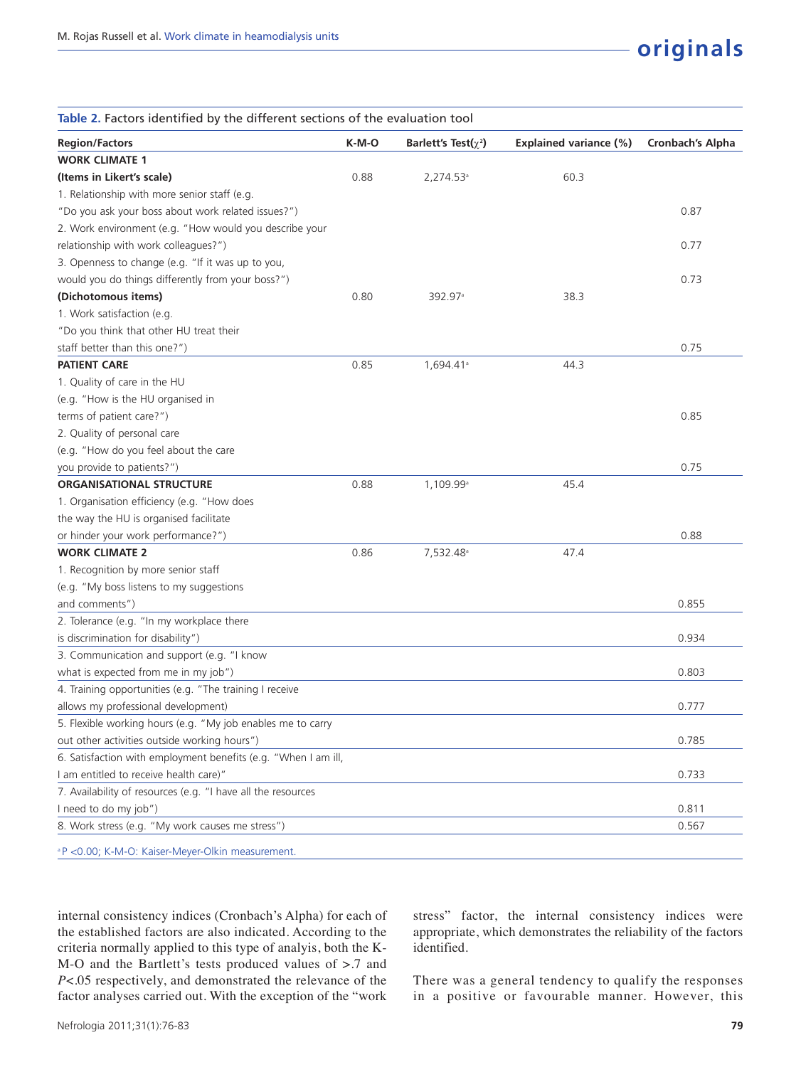| Table 2. Factors identified by the different sections of the evaluation tool |       |                            |                               |                         |
|------------------------------------------------------------------------------|-------|----------------------------|-------------------------------|-------------------------|
| <b>Region/Factors</b>                                                        | K-M-O | Barlett's Test( $\chi^2$ ) | <b>Explained variance (%)</b> | <b>Cronbach's Alpha</b> |
| <b>WORK CLIMATE 1</b>                                                        |       |                            |                               |                         |
| (Items in Likert's scale)                                                    | 0.88  | 2,274.53 <sup>a</sup>      | 60.3                          |                         |
| 1. Relationship with more senior staff (e.g.                                 |       |                            |                               |                         |
| "Do you ask your boss about work related issues?")                           |       |                            |                               | 0.87                    |
| 2. Work environment (e.g. "How would you describe your                       |       |                            |                               |                         |
| relationship with work colleagues?")                                         |       |                            |                               | 0.77                    |
| 3. Openness to change (e.g. "If it was up to you,                            |       |                            |                               |                         |
| would you do things differently from your boss?")                            |       |                            |                               | 0.73                    |
| (Dichotomous items)                                                          | 0.80  | 392.97 <sup>a</sup>        | 38.3                          |                         |
| 1. Work satisfaction (e.g.                                                   |       |                            |                               |                         |
| "Do you think that other HU treat their                                      |       |                            |                               |                         |
| staff better than this one?")                                                |       |                            |                               | 0.75                    |
| <b>PATIENT CARE</b>                                                          | 0.85  | 1,694.41 <sup>a</sup>      | 44.3                          |                         |
| 1. Quality of care in the HU                                                 |       |                            |                               |                         |
| (e.g. "How is the HU organised in                                            |       |                            |                               |                         |
| terms of patient care?")                                                     |       |                            |                               | 0.85                    |
| 2. Quality of personal care                                                  |       |                            |                               |                         |
| (e.g. "How do you feel about the care                                        |       |                            |                               |                         |
| you provide to patients?")                                                   |       |                            |                               | 0.75                    |
| <b>ORGANISATIONAL STRUCTURE</b>                                              | 0.88  | 1,109.99 <sup>a</sup>      | 45.4                          |                         |
| 1. Organisation efficiency (e.g. "How does                                   |       |                            |                               |                         |
| the way the HU is organised facilitate                                       |       |                            |                               |                         |
| or hinder your work performance?")                                           |       |                            |                               | 0.88                    |
| <b>WORK CLIMATE 2</b>                                                        | 0.86  | 7,532.48 <sup>a</sup>      | 47.4                          |                         |
| 1. Recognition by more senior staff                                          |       |                            |                               |                         |
| (e.g. "My boss listens to my suggestions                                     |       |                            |                               |                         |
| and comments")                                                               |       |                            |                               | 0.855                   |
| 2. Tolerance (e.g. "In my workplace there                                    |       |                            |                               |                         |
| is discrimination for disability")                                           |       |                            |                               | 0.934                   |
| 3. Communication and support (e.g. "I know                                   |       |                            |                               |                         |
| what is expected from me in my job")                                         |       |                            |                               | 0.803                   |
| 4. Training opportunities (e.g. "The training I receive                      |       |                            |                               |                         |
| allows my professional development)                                          |       |                            |                               | 0.777                   |
| 5. Flexible working hours (e.g. "My job enables me to carry                  |       |                            |                               |                         |
| out other activities outside working hours")                                 |       |                            |                               | 0.785                   |
| 6. Satisfaction with employment benefits (e.g. "When I am ill,               |       |                            |                               |                         |
| I am entitled to receive health care)"                                       |       |                            |                               | 0.733                   |
| 7. Availability of resources (e.g. "I have all the resources                 |       |                            |                               |                         |
| I need to do my job")                                                        |       |                            |                               | 0.811                   |
| 8. Work stress (e.g. "My work causes me stress")                             |       |                            |                               | 0.567                   |
| <sup>a</sup> P < 0.00; K-M-O: Kaiser-Meyer-Olkin measurement.                |       |                            |                               |                         |

internal consistency indices (Cronbach's Alpha) for each of the established factors are also indicated. According to the criteria normally applied to this type of analyis, both the K-M-O and the Bartlett's tests produced values of >.7 and *P*<.05 respectively, and demonstrated the relevance of the factor analyses carried out. With the exception of the "work

stress" factor, the internal consistency indices were appropriate, which demonstrates the reliability of the factors identified.

There was a general tendency to qualify the responses in a positive or favourable manner. However, this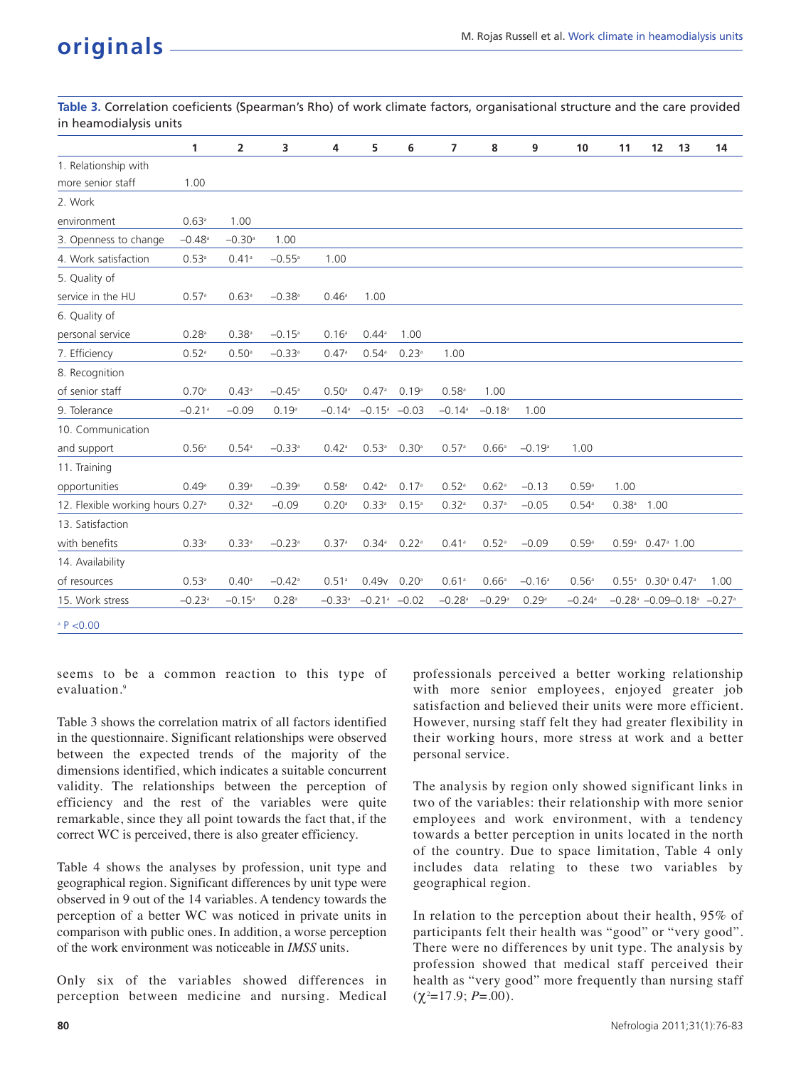**Table 3.** Correlation coeficients (Spearman's Rho) of work climate factors, organisational structure and the care provided in heamodialysis units

|                                              | 1                    | 2                    | 3                    | 4                    | 5                            | 6                 | $\overline{7}$       | 8                    | 9        | 10                   | 11                  | 12                                                            | 13 | 14                                                                    |
|----------------------------------------------|----------------------|----------------------|----------------------|----------------------|------------------------------|-------------------|----------------------|----------------------|----------|----------------------|---------------------|---------------------------------------------------------------|----|-----------------------------------------------------------------------|
| 1. Relationship with                         |                      |                      |                      |                      |                              |                   |                      |                      |          |                      |                     |                                                               |    |                                                                       |
| more senior staff                            | 1.00                 |                      |                      |                      |                              |                   |                      |                      |          |                      |                     |                                                               |    |                                                                       |
| 2. Work                                      |                      |                      |                      |                      |                              |                   |                      |                      |          |                      |                     |                                                               |    |                                                                       |
| environment                                  | 0.63a                | 1.00                 |                      |                      |                              |                   |                      |                      |          |                      |                     |                                                               |    |                                                                       |
| 3. Openness to change                        | $-0.48$ <sup>a</sup> | $-0.30$ <sup>a</sup> | 1.00                 |                      |                              |                   |                      |                      |          |                      |                     |                                                               |    |                                                                       |
| 4. Work satisfaction                         | 0.53a                | 0.41a                | $-0.55$ <sup>a</sup> | 1.00                 |                              |                   |                      |                      |          |                      |                     |                                                               |    |                                                                       |
| 5. Quality of                                |                      |                      |                      |                      |                              |                   |                      |                      |          |                      |                     |                                                               |    |                                                                       |
| service in the HU                            | 0.57a                | $0.63$ <sup>a</sup>  | $-0.38$ <sup>a</sup> | 0.46a                | 1.00                         |                   |                      |                      |          |                      |                     |                                                               |    |                                                                       |
| 6. Quality of                                |                      |                      |                      |                      |                              |                   |                      |                      |          |                      |                     |                                                               |    |                                                                       |
| personal service                             | $0.28$ <sup>a</sup>  | $0.38$ <sup>a</sup>  | $-0.15$ <sup>a</sup> | 0.16 <sup>a</sup>    | $0.44^{\circ}$               | 1.00              |                      |                      |          |                      |                     |                                                               |    |                                                                       |
| 7. Efficiency                                | $0.52$ <sup>a</sup>  | $0.50$ <sup>a</sup>  | $-0.33$ <sup>a</sup> | 0.47a                | $0.54$ <sup>a</sup>          | 0.23a             | 1.00                 |                      |          |                      |                     |                                                               |    |                                                                       |
| 8. Recognition                               |                      |                      |                      |                      |                              |                   |                      |                      |          |                      |                     |                                                               |    |                                                                       |
| of senior staff                              | 0.70a                | 0.43a                | $-0.45$ <sup>a</sup> | $0.50$ <sup>a</sup>  | 0.47a                        | 0.19a             | $0.58$ <sup>a</sup>  | 1.00                 |          |                      |                     |                                                               |    |                                                                       |
| 9. Tolerance                                 | $-0.21$ <sup>a</sup> | $-0.09$              | 0.19a                | $-0.14$ <sup>a</sup> | $-0.15^{\mathrm{a}}$ $-0.03$ |                   | $-0.14$ <sup>a</sup> | $-0.18$ <sup>a</sup> | 1.00     |                      |                     |                                                               |    |                                                                       |
| 10. Communication                            |                      |                      |                      |                      |                              |                   |                      |                      |          |                      |                     |                                                               |    |                                                                       |
| and support                                  | 0.56a                | $0.54$ <sup>a</sup>  | $-0.33a$             | $0.42$ <sup>a</sup>  | 0.53a                        | 0.30 <sup>a</sup> | 0.57a                | 0.66a                | $-0.19a$ | 1.00                 |                     |                                                               |    |                                                                       |
| 11. Training                                 |                      |                      |                      |                      |                              |                   |                      |                      |          |                      |                     |                                                               |    |                                                                       |
| opportunities                                | 0.49a                | 0.39a                | $-0.39a$             | $0.58$ <sup>a</sup>  | $0.42$ <sup>a</sup>          | 0.17a             | $0.52$ <sup>a</sup>  | 0.62a                | $-0.13$  | 0.59a                | 1.00                |                                                               |    |                                                                       |
| 12. Flexible working hours 0.27 <sup>a</sup> |                      | $0.32$ <sup>a</sup>  | $-0.09$              | $0.20$ <sup>a</sup>  | 0.33a                        | $0.15^{a}$        | $0.32^{a}$           | 0.37a                | $-0.05$  | $0.54$ <sup>a</sup>  | $0.38$ <sup>a</sup> | 1.00                                                          |    |                                                                       |
| 13. Satisfaction                             |                      |                      |                      |                      |                              |                   |                      |                      |          |                      |                     |                                                               |    |                                                                       |
| with benefits                                | 0.33a                | 0.33a                | $-0.23$ <sup>a</sup> | 0.37a                | $0.34$ <sup>a</sup>          | 0.22a             | 0.41a                | 0.52a                | $-0.09$  | 0.59a                |                     | $0.59^{\circ}$ 0.47 <sup>ª</sup> 1.00                         |    |                                                                       |
| 14. Availability                             |                      |                      |                      |                      |                              |                   |                      |                      |          |                      |                     |                                                               |    |                                                                       |
| of resources                                 | 0.53a                | $0.40^{\circ}$       | $-0.42$ <sup>a</sup> | $0.51$ <sup>a</sup>  | 0.49v                        | 0.20a             | 0.61a                | 0.66a                | $-0.16a$ | 0.56a                |                     | $0.55^{\circ}$ 0.30 <sup>°</sup> 0.47 <sup><sup>°</sup></sup> |    | 1.00                                                                  |
| 15. Work stress                              | $-0.23$ <sup>a</sup> | $-0.15$ <sup>a</sup> | $0.28$ <sup>a</sup>  | $-0.33a$             | $-0.21$ <sup>a</sup> $-0.02$ |                   | $-0.28$ <sup>a</sup> | $-0.29a$             | 0.29a    | $-0.24$ <sup>a</sup> |                     |                                                               |    | $-0.28$ <sup>a</sup> $-0.09 - 0.18$ <sup>a</sup> $-0.27$ <sup>a</sup> |
| P < 0.00                                     |                      |                      |                      |                      |                              |                   |                      |                      |          |                      |                     |                                                               |    |                                                                       |

seems to be a common reaction to this type of evaluation.<sup>9</sup>

Table 3 shows the correlation matrix of all factors identified in the questionnaire. Significant relationships were observed between the expected trends of the majority of the dimensions identified, which indicates a suitable concurrent validity. The relationships between the perception of efficiency and the rest of the variables were quite remarkable, since they all point towards the fact that, if the correct WC is perceived, there is also greater efficiency.

Table 4 shows the analyses by profession, unit type and geographical region. Significant differences by unit type were observed in 9 out of the 14 variables. A tendency towards the perception of a better WC was noticed in private units in comparison with public ones. In addition, a worse perception of the work environment was noticeable in *IMSS* units.

Only six of the variables showed differences in perception between medicine and nursing. Medical professionals perceived a better working relationship with more senior employees, enjoyed greater job satisfaction and believed their units were more efficient. However, nursing staff felt they had greater flexibility in their working hours, more stress at work and a better personal service.

The analysis by region only showed significant links in two of the variables: their relationship with more senior employees and work environment, with a tendency towards a better perception in units located in the north of the country. Due to space limitation, Table 4 only includes data relating to these two variables by geographical region.

In relation to the perception about their health, 95% of participants felt their health was "good" or "very good". There were no differences by unit type. The analysis by profession showed that medical staff perceived their health as "very good" more frequently than nursing staff (χ <sup>2</sup>=17.9; *P*=.00).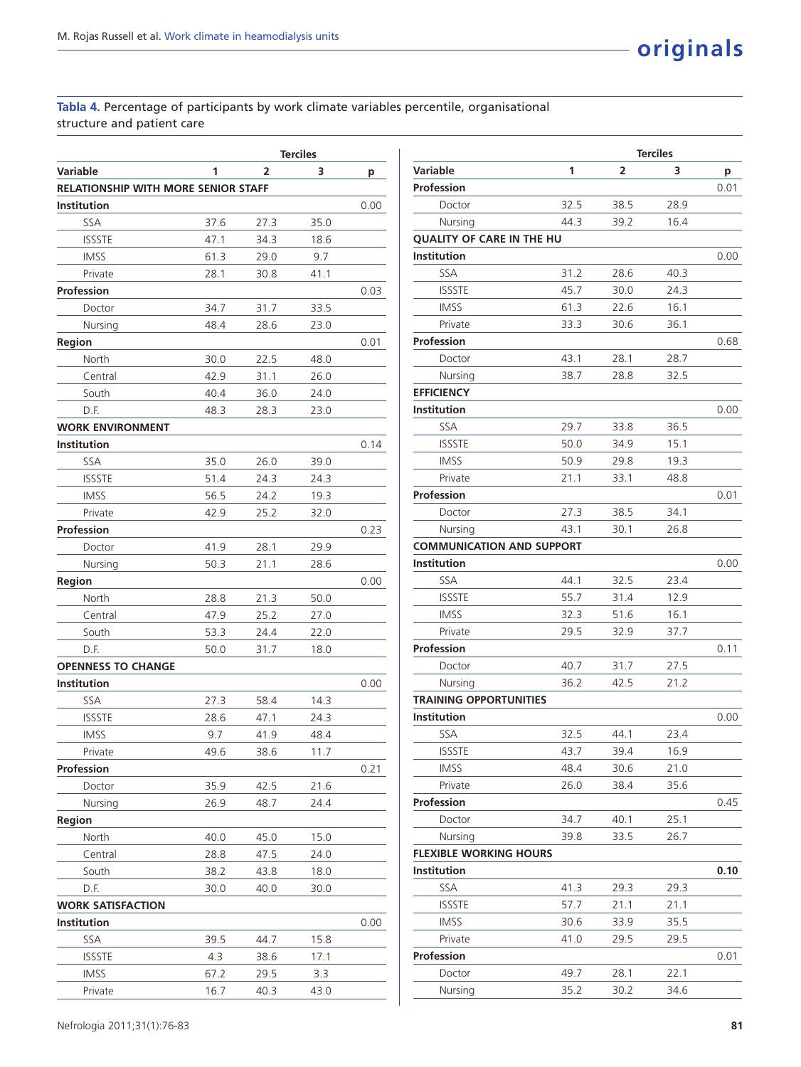# **Tabla 4.** Percentage of participants by work climate variables percentile, organisational structure and patient care

|                                            |      |      | <b>Terciles</b> |      |
|--------------------------------------------|------|------|-----------------|------|
| Variable                                   | 1    | 2    | 3               | р    |
| <b>RELATIONSHIP WITH MORE SENIOR STAFF</b> |      |      |                 |      |
| <b>Institution</b>                         |      |      |                 | 0.00 |
| SSA                                        | 37.6 | 27.3 | 35.0            |      |
| <b>ISSSTE</b>                              | 47.1 | 34.3 | 18.6            |      |
| <b>IMSS</b>                                | 61.3 | 29.0 | 9.7             |      |
| Private                                    | 28.1 | 30.8 | 41.1            |      |
| Profession                                 |      |      |                 | 0.03 |
| Doctor                                     | 34.7 | 31.7 | 33.5            |      |
| Nursing                                    | 48.4 | 28.6 | 23.0            |      |
| Region                                     |      |      |                 | 0.01 |
| North                                      | 30.0 | 22.5 | 48.0            |      |
| Central                                    | 42.9 | 31.1 | 26.0            |      |
| South                                      | 40.4 | 36.0 | 24.0            |      |
| D.F.                                       | 48.3 | 28.3 | 23.0            |      |
| <b>WORK ENVIRONMENT</b>                    |      |      |                 |      |
| Institution                                |      |      |                 | 0.14 |
| SSA                                        | 35.0 | 26.0 | 39.0            |      |
| <b>ISSSTE</b>                              | 51.4 | 24.3 | 24.3            |      |
| <b>IMSS</b>                                | 56.5 | 24.2 | 19.3            |      |
| Private                                    | 42.9 | 25.2 | 32.0            |      |
| Profession                                 |      |      |                 | 0.23 |
| Doctor                                     | 41.9 | 28.1 | 29.9            |      |
| Nursing                                    | 50.3 | 21.1 | 28.6            |      |
| Region                                     |      |      |                 | 0.00 |
| North                                      | 28.8 | 21.3 | 50.0            |      |
| Central                                    | 47.9 | 25.2 | 27.0            |      |
| South                                      | 53.3 | 24.4 | 22.0            |      |
| D.F.                                       | 50.0 | 31.7 | 18.0            |      |
| <b>OPENNESS TO CHANGE</b>                  |      |      |                 |      |
| Institution                                |      |      |                 | 0.00 |
| SSA                                        | 27.3 | 58.4 | 14.3            |      |
| <b>ISSSTE</b>                              | 28.6 | 47.1 | 24.3            |      |
| <b>IMSS</b>                                | 9.7  | 41.9 | 48.4            |      |
| Private                                    | 49.6 | 38.6 | 11.7            |      |
| Profession                                 |      |      |                 | 0.21 |
| Doctor                                     | 35.9 | 42.5 | 21.6            |      |
| Nursing                                    | 26.9 | 48.7 | 24.4            |      |
| Region                                     |      |      |                 |      |
| North                                      | 40.0 | 45.0 | 15.0            |      |
| Central                                    | 28.8 | 47.5 | 24.0            |      |
| South                                      | 38.2 | 43.8 | 18.0            |      |
| D.F.                                       | 30.0 | 40.0 | 30.0            |      |
| <b>WORK SATISFACTION</b>                   |      |      |                 |      |
| <b>Institution</b>                         |      |      |                 | 0.00 |
| SSA                                        | 39.5 | 44.7 | 15.8            |      |
| <b>ISSSTE</b>                              | 4.3  | 38.6 | 17.1            |      |
| <b>IMSS</b>                                | 67.2 | 29.5 | 3.3             |      |
| Private                                    | 16.7 | 40.3 | 43.0            |      |

|                                  |      |      | <b>Terciles</b> |      |
|----------------------------------|------|------|-----------------|------|
| Variable                         | 1    | 2    | 3               | р    |
| <b>Profession</b>                |      |      |                 | 0.01 |
| Doctor                           | 32.5 | 38.5 | 28.9            |      |
| Nursing                          | 44.3 | 39.2 | 16.4            |      |
| <b>QUALITY OF CARE IN THE HU</b> |      |      |                 |      |
| Institution                      |      |      |                 | 0.00 |
| SSA                              | 31.2 | 28.6 | 40.3            |      |
| <b>ISSSTE</b>                    | 45.7 | 30.0 | 24.3            |      |
| <b>IMSS</b>                      | 61.3 | 22.6 | 16.1            |      |
| Private                          | 33.3 | 30.6 | 36.1            |      |
| <b>Profession</b>                |      |      |                 | 0.68 |
| Doctor                           | 43.1 | 28.1 | 28.7            |      |
| Nursing                          | 38.7 | 28.8 | 32.5            |      |
| <b>EFFICIENCY</b>                |      |      |                 |      |
| Institution                      |      |      |                 | 0.00 |
| SSA                              | 29.7 | 33.8 | 36.5            |      |
| <b>ISSSTE</b>                    | 50.0 | 34.9 | 15.1            |      |
| <b>IMSS</b>                      | 50.9 | 29.8 | 19.3            |      |
| Private                          | 21.1 | 33.1 | 48.8            |      |
| <b>Profession</b>                |      |      |                 | 0.01 |
| Doctor                           | 27.3 | 38.5 | 34.1            |      |
| Nursing                          | 43.1 | 30.1 | 26.8            |      |
| <b>COMMUNICATION AND SUPPORT</b> |      |      |                 |      |
| Institution                      |      |      |                 | 0.00 |
| <b>SSA</b>                       | 44.1 | 32.5 | 23.4            |      |
| <b>ISSSTE</b>                    | 55.7 | 31.4 | 12.9            |      |
| <b>IMSS</b>                      | 32.3 | 51.6 | 16.1            |      |
| Private                          | 29.5 | 32.9 | 37.7            |      |
| <b>Profession</b>                |      |      |                 | 0.11 |
| Doctor                           | 40.7 | 31.7 | 27.5            |      |
| Nursing                          | 36.2 | 42.5 | 21.2            |      |
| <b>TRAINING OPPORTUNITIES</b>    |      |      |                 |      |
| Institution                      |      |      |                 |      |
| SSA                              | 32.5 | 44.1 | 23.4            | 0.00 |
|                                  |      |      |                 |      |
| <b>ISSSTE</b>                    | 43.7 | 39.4 | 16.9            |      |
| <b>IMSS</b>                      | 48.4 | 30.6 | 21.0            |      |
| Private                          | 26.0 | 38.4 | 35.6            |      |
| Profession                       |      |      |                 | 0.45 |
| Doctor                           | 34.7 | 40.1 | 25.1            |      |
| Nursing                          | 39.8 | 33.5 | 26.7            |      |
| <b>FLEXIBLE WORKING HOURS</b>    |      |      |                 |      |
| <b>Institution</b>               |      |      |                 | 0.10 |
| SSA                              | 41.3 | 29.3 | 29.3            |      |
| <b>ISSSTE</b>                    | 57.7 | 21.1 | 21.1            |      |
| <b>IMSS</b>                      | 30.6 | 33.9 | 35.5            |      |
| Private                          | 41.0 | 29.5 | 29.5            |      |
| Profession                       |      |      |                 | 0.01 |
| Doctor                           | 49.7 | 28.1 | 22.1            |      |
| Nursing                          | 35.2 | 30.2 | 34.6            |      |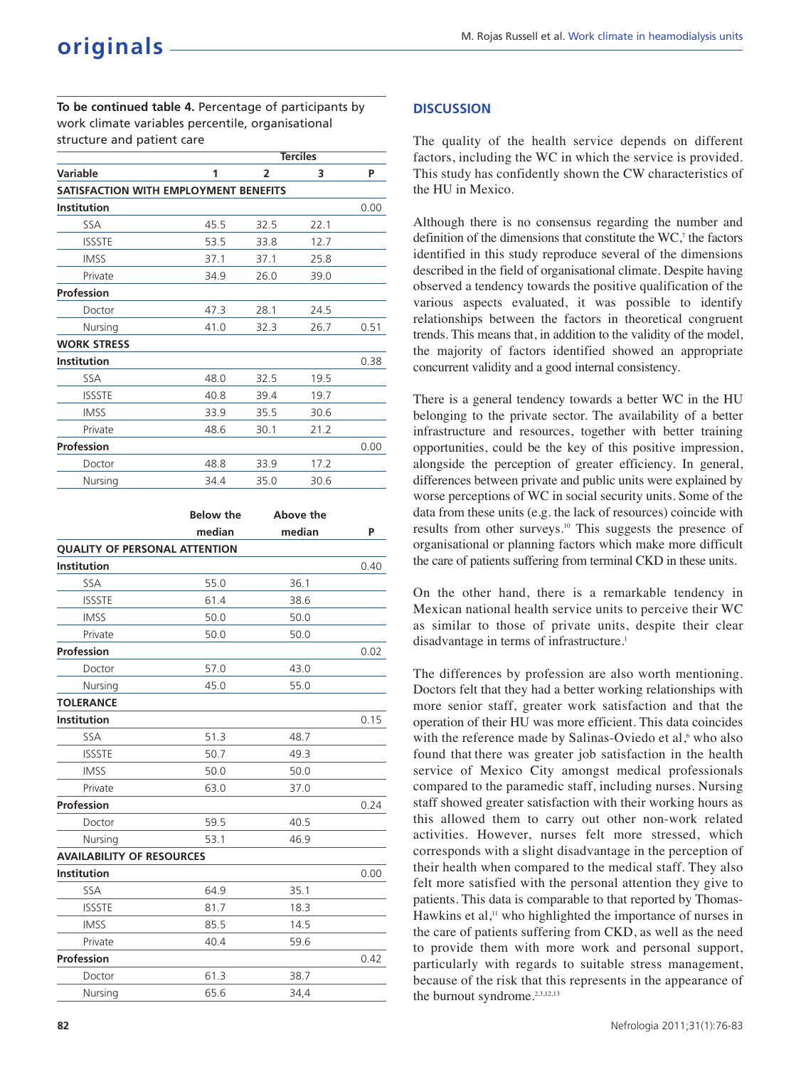**To be continued table 4.** Percentage of participants by work climate variables percentile, organisational structure and patient care

|                                       |      |                | <b>Terciles</b> |      |
|---------------------------------------|------|----------------|-----------------|------|
| Variable                              | 1    | $\overline{2}$ | 3               | P    |
| SATISFACTION WITH EMPLOYMENT BENEFITS |      |                |                 |      |
| <b>Institution</b>                    |      |                |                 | 0.00 |
| <b>SSA</b>                            | 45.5 | 32.5           | 22.1            |      |
| <b>ISSSTE</b>                         | 53.5 | 33.8           | 12.7            |      |
| <b>IMSS</b>                           | 37.1 | 37.1           | 25.8            |      |
| Private                               | 34.9 | 26.0           | 39.0            |      |
| Profession                            |      |                |                 |      |
| Doctor                                | 47.3 | 28.1           | 24.5            |      |
| Nursing                               | 41.0 | 32.3           | 26.7            | 0.51 |
| <b>WORK STRESS</b>                    |      |                |                 |      |
| <b>Institution</b>                    |      |                |                 | 0.38 |
| <b>SSA</b>                            | 48.0 | 32.5           | 19.5            |      |
| <b>ISSSTE</b>                         | 40.8 | 39.4           | 19.7            |      |
| <b>IMSS</b>                           | 33.9 | 35.5           | 30.6            |      |
| Private                               | 48.6 | 30.1           | 21.2            |      |
| <b>Profession</b>                     |      |                |                 | 0.00 |
| Doctor                                | 48.8 | 33.9           | 17.2            |      |
| Nursing                               | 34.4 | 35.0           | 30.6            |      |

|                                      | <b>Below the</b> | Above the |      |
|--------------------------------------|------------------|-----------|------|
|                                      | median           | median    | P    |
| <b>QUALITY OF PERSONAL ATTENTION</b> |                  |           |      |
| Institution                          |                  |           | 0.40 |
| <b>SSA</b>                           | 55.0             | 36.1      |      |
| <b>ISSSTE</b>                        | 61.4             | 38.6      |      |
| <b>IMSS</b>                          | 50.0             | 50.0      |      |
| Private                              | 50.0             | 50.0      |      |
| Profession                           |                  |           | 0.02 |
| Doctor                               | 57.0             | 43.0      |      |
| Nursing                              | 45.0             | 55.0      |      |
| <b>TOLERANCE</b>                     |                  |           |      |
| <b>Institution</b>                   |                  |           | 0.15 |
| SSA                                  | 51.3             | 48.7      |      |
| <b>ISSSTE</b>                        | 50.7             | 49.3      |      |
| <b>IMSS</b>                          | 50.0             | 50.0      |      |
| Private                              | 63.0             | 37.0      |      |
| Profession                           |                  |           | 0.24 |
| Doctor                               | 59.5             | 40.5      |      |
| Nursing                              | 53.1             | 46.9      |      |
| <b>AVAILABILITY OF RESOURCES</b>     |                  |           |      |
| <b>Institution</b>                   |                  |           | 0.00 |
| SSA                                  | 64.9             | 35.1      |      |
| <b>ISSSTE</b>                        | 81.7             | 18.3      |      |
| <b>IMSS</b>                          | 85.5             | 14.5      |      |
| Private                              | 40.4             | 59.6      |      |
| Profession                           |                  |           | 0.42 |
| Doctor                               | 61.3             | 38.7      |      |
| Nursing                              | 65.6             | 34,4      |      |

#### **DISCUSSION**

The quality of the health service depends on different factors, including the WC in which the service is provided. This study has confidently shown the CW characteristics of the HU in Mexico.

Although there is no consensus regarding the number and definition of the dimensions that constitute the  $WC$ , the factors identified in this study reproduce several of the dimensions described in the field of organisational climate. Despite having observed a tendency towards the positive qualification of the various aspects evaluated, it was possible to identify relationships between the factors in theoretical congruent trends. This means that, in addition to the validity of the model, the majority of factors identified showed an appropriate concurrent validity and a good internal consistency.

There is a general tendency towards a better WC in the HU belonging to the private sector. The availability of a better infrastructure and resources, together with better training opportunities, could be the key of this positive impression, alongside the perception of greater efficiency. In general, differences between private and public units were explained by worse perceptions of WC in social security units. Some of the data from these units (e.g. the lack of resources) coincide with results from other surveys.<sup>10</sup> This suggests the presence of organisational or planning factors which make more difficult the care of patients suffering from terminal CKD in these units.

On the other hand, there is a remarkable tendency in Mexican national health service units to perceive their WC as similar to those of private units, despite their clear disadvantage in terms of infrastructure.<sup>1</sup>

The differences by profession are also worth mentioning. Doctors felt that they had a better working relationships with more senior staff, greater work satisfaction and that the operation of their HU was more efficient. This data coincides with the reference made by Salinas-Oviedo et al,<sup>6</sup> who also found that there was greater job satisfaction in the health service of Mexico City amongst medical professionals compared to the paramedic staff, including nurses. Nursing staff showed greater satisfaction with their working hours as this allowed them to carry out other non-work related activities. However, nurses felt more stressed, which corresponds with a slight disadvantage in the perception of their health when compared to the medical staff. They also felt more satisfied with the personal attention they give to patients. This data is comparable to that reported by Thomas-Hawkins et al,<sup>11</sup> who highlighted the importance of nurses in the care of patients suffering from CKD, as well as the need to provide them with more work and personal support, particularly with regards to suitable stress management, because of the risk that this represents in the appearance of the burnout syndrome.<sup>2,3,12,13</sup>